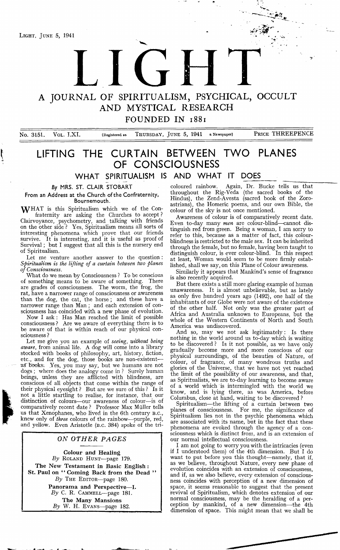**A JOURNAL OF SPIRITUALISM, PSYCHICAL, OCCULT AND MYSTICAL RESEARCH**

 $\Gamma$ 

FOUNDED IN 1881

No. 3151. VOL. LXI. (Registered as THURSDAY, JUNE 5, 1941 a Newspaper) PRICE THREEPENCE

## **LIFTING THE CURTAIN BETWEEN TWO PLANES OF CONSCIOUSNESS**

**WHAT SPIRITUALISM IS AND WHAT IT DOES**

*By* **MRS. ST. CLAIR STOBART**

**From an Address at the Church of the Confraternity, Bournemouth.**

WHAT is this Spiritualism which we of the Confraternity are asking the Churches to accept ? Clairvoyance, psychometry, and talking with friends on the other side ? Yes, Spiritualism means all sorts of interesting phenomena which prove that our friends survive. It is interesting, and it is useful as proof of Survival; but I suggest that all this is the nursery end of Spiritualism.

Let me venture another answer to the question : *Spiritualism is the lifting of a curtain between two planes of Consciousness.*

What do we mean by Consciousness ? To be conscious of something means to be aware of something. There are grades of consciousness. The worm, the frog, the rat, have a narrower range of consciousness or awareness than the dog, the cat, the horse ; and these have a narrower range than Man ; and each extension of consciousness has coincided with a new phase of evolution.

Now I ask : Has Man reached the limit of possible consciousness ? Are we aware of everything there is to be aware of that is within reach of our physical consciousness ?

Let me give you an example of *seeing, without being aware,* from animal life. A dog will come into a library stocked with books of philosophy, art, history, fiction, etc., and for the dog, those books are non-existent as' books. Yes, you may say, but we humans are not dogs ; where does the analogy come in ? Surely human beings, unless they are afflicted with blindness, are conscious of all objects that come within the range of their physical eyesight ? But are we sure of this ? Is it not a little startling to realise, for instance, that our distinction of colours— our awareness of colour—is of comparatively recent date ? Professor Max Muller tells us that Xenophanes, who lived in the 6th century B.C., knew only of *three* colours of the rainbow— purple, red, and yellow. Even Aristotle (B.C. 384) spoke of the tri-

### *ON OTHER PAGES*

Colour and Healing *By* **Roland Hunt**— page 179. The New Testament in Basic English : St. Paul on " Coming Back from the Dead " *By* **The Editor**—page 180. Panorama and Perspective—I. *By* **C.** R. **Cammell**— page 181. The Many Mansions *By* W. H. **Evans**— page 182.

coloured rainbow. Again, Dr. Bucke tells us that throughout the Rig-Veda (the sacred books of the Hindus), the Zend-Avesta (sacred book of the Zoroastrians), the Homeric poems, and our own Bible, the colour of the sky is not once mentioned.

Awareness of colour is of comparatively recent date. Even to-day many *men* are colour-blind— cannot distinguish red from green. Being a woman, I am sorry to refer to this, because as a matter of fact, this colourblindness is restricted to the male sex. It can be inherited through the female, but no female, having been taught to distinguish colour, is ever colour-blind. In this respect at least, Woman would seem to be more firmly established, shall we say, on this Plane of Colour awareness.

Similarly it appears that Mankind's sense of fragrance is also recently acquired.

But there exists a still more glaring example of human unawareness. It is almost unbelievable, but as lately as only five hundred years ago (1492), one half of the inhabitants of our Globe were not aware of the existence of the other half. Not only was the greater part of Africa and Australia unknown to Europeans, but the whole of the Western Continents of North and South America was undiscovered.

And so, may we not ask legitimately : Is there nothing in the world around us to-day which is waiting to be discovered? Is it not possible, as we have only gradually become more and more conscious of our physical surroundings, of the beauties of Nature, of colour, of fragrance, of many wondrous truths and glories of the Universe, that we have not yet reached the limit of the possibility of our awareness, and that, as Spiritualists, we are to-day learning to become aware of a world which is intermingled with the world we know, and is lying there, as was America, before Columbus, close at hand, waiting to be discovered ?

Spiritualism— the lifting of a curtain between two planes of consciousness. For me, the significance of Spiritualism lies not in the psychic phenomena which are associated with its name, but in the fact that these phenomena are evoked through the agency of a consciousness which is distinct from, and is an extension of our normal intellectual consciousness.

I am not going to worry you with the intricacies (even if I understood them) of the 4th dimension. But I do want to put before you this thought— namely, that if, as we believe, throughout Nature, every new phase of evolution coincides with an extension of consciousness, and if, as we also believe, every extension of consciousness coincides with perception of a new dimension of space, it seems reasonable to suggest that the present revival of Spiritualism, which denotes extension of our normal consciousness, may be the heralding of a perception by mankind, of a new dimension— the 4th dimension of space. This might mean that we shall be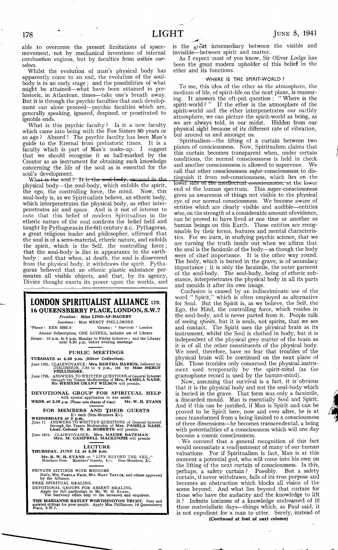able to overcome the present limitations of spacemovement, not by mechanical inventions of internal combustion engines, but by faculties from *within ourselves.*

Whilst the evolution of man's physical body has apparently come to an end, the evolution of the soulbody is in an early stage ; and the possibilities of what might be attained—what have been attained in prehistoric, in Atlantean, times— take one's breath away. But it is through the psychic faculties that such development can alone proceed—psychic faculties which are, generally speaking, ignored, despised, or prostituted to ignoble ends.

What is this psychic faculty ? Is it a new faculty which came into being with the Fox Sisters 80 years or so age? Absurd ! The psychic faculty has been Man's<br>guide to the Eternal from prehistoric times. It is a guide to the Eternal from prehistoric times. faculty which is part of Man's make-up. I suggest that we should recognise it as hall-marked by the Creator as an instrument for obtaining such knowledge concerning the life of the soul as is essential for the soul's development.

What is the soul ?—It is the soul-body, oncased in physical body— the soul-body, which enfolds the spirit, the ego, the controlling force, the mind. Now, this soul-body is, as we Spiritualists believe, an etheric body, which interpenetrates the physical body, as ether interpenetrates air and space. And is it not of interest to note that this belief of modern Spiritualism in the etheric nature of the soul confirms the belief held and taught by Pythagoras in the 6th century **<sup>b</sup> .<sup>c</sup> .** Pythagoras, a great religious leader and philosopher, affirmed that the soul is of a semi-material, etheric nature, and enfolds the spirit, which is the Self, the controlling force; that the soul-body is like in appearance to the earthbody ; and that when, at death, the soul is dissevered from the physical body, it withdraws the spirit. Pythagoras believed that an etheric plastic substance permeates all visible objects, and that, by its agency, Divine thought exerts its power upon the worlds, and

### **LONDON SPIRITUALIST ALLIANCE ltd 16 QUEENSBERRY PLACE, LONDON, S.W.7** *President***: Miss LIND-AF-HAGEBY**

*Secretary* **: Miss MERCY PHILLIMORE**

**'Phone: KEN 3292-3 'Grams : 4 Survival \* London Annual Subscription, ONE GUINEA, includes use of Library Hours: 10 a.m. to 5 p.m. Monday to Friday inclusive ; and the Library until 6.30 p.m. before evening meetings**

PUBLIC MEETINGS

**TUESDAYS at 6.30 p.m. (Silver Collection).**

**June 10th. CLAIRVOYANCE: Mrs. BERTHA HARRIS, followed bv DISCUSSION, 7.30 to 8 p.m., led by Miss MERCY PHILLIMORE.**

**June 17th. ANSWERS TO WRITTEN QUESTIONS of General Interest through the Trance Mediumship of Mrs. PAMELA NASH. Sir W EMYSS GRANT WILSON will preside.**

**DEVOTIONAL GROUP FOR SPIRITUAL HELP**<br> **WEDS. at 2.30** p.m. (Please note change of time). Mr. W. H. EVANS<br>
FOR MEMBERS AND THEIR GUESTS<br>
WEDNESDAYS at 3<sup>1</sup>/- each (Non-Members 2/-).<br> **WEDNESDAYS TO THEIR** CUESTS **FOR MEMBERS AND THEIR GUESTS** 

WEDNESDAYS at 3 p.m.<br>
June 11 ANSWERS TO WRITTEN QUESTIONS of General Interest<br>
through the Trance Mediumship of Mrs. PAMELA NASH.<br>
Lieut.-Colonel W. B. ROBERTS will preside.

. CLAIRVOYANCE. Mrs. MAUDE BATEMAN<br>Mrs. M. CAMPBELL MACKENZIE will preside

**LECTURE**<br>**THURSDAY, JUNE 12, at 6.30 p.m. Mr. R. W. H. EVANS** on "LIFE BEYOND THE VEIL."<br>Members Free. Members' Guests, 1/-. Non-Members, 2/-.

**PRIVATE SITTINGS WITH MEDIUMS<br>Daily, Mrs. Pamela Nash, Mrs. Mary Taylox, and others approved<br>by the Alliance.<br>FREE SPIRITUAL HEALING.** 

**DEVOTIONAL GROUPS FOR ABSENT HEALING. Apply for full particulars to Mr.** W . H. E vans. **The Secretary offers help to the bereaved and enquirers.**

**THE MARIANNE BAYLEY WORTHINGTON TRUST. Free and assisted sittings for poor people. Apply Miss Phillimore, 16 Queensberry Place, S.W.7.**

is the great intermediary between the visible and invisible— between spirit and matter.

As I expect most of you know, Sir Oliver Lodge has been the great modern upholder of this belief in the ether and its functions.

### WHERE IS THE SPIRIT-WORLD ?

To me, this idea of the ether as the atmosphere, the medium of life, of spirit-life on the next plane, is reassuring. It answers the oft-put. question : " Where is the spirit-world? " If the ether is the atmosphere of the spirit-world and the ether interpenetrates our earthly atmosphere, we can picture the spirit-world as being, as we are always told, in our midst. Hidden from our physical sight because of its different rate of vibration, but around us and amongst us.

Spiritualism—the lifting of a curtain between two planes of consciousness. Now, Spiritualism claims that this curtain becomes transparent when, under certain conditions, the normal consciousness is held in check and another consciousness is allowed to supervene. call that other consciousness  $\textit{super-con}$  consciousness to distinguish it from  $sub$ -consciousness, which lies on the lower side of the intellectual consciousness, at the lower end of the human spectrum. This super-consciousness gives us awareness of things not visible to the physical eye of our normal consciousness. We become aware of entities which are clearly visible and audible— entities who, on the strength of a considerable amount of evidence, can be proved to have lived at one time or another as human beings on this Earth. These entities are recognisable by their forms, features and mental characteristics. For we learn, in studying psychic science, that we are turning the truth inside out when we affirm that the soul is the facsimile of the body— as though the body were of chief importance. It is the other way round. The body, which is buried in the grave, is of secondary importance ; it is only the facsimile, the outer garment of the soul-body. The soul-body, being of etheric substance, interpenetrates the physical body in all its parts and moulds it after its own image.

Confusion is caused by an indiscriminate use of the word " Spirit," which is often employed as alternative for Soul. But the Spirit is, as we believe, the Self, the Ego, the Mind, the controlling force, which resides in the soul-body, and is never parted from it. People talk of seeing *spirits,* but it is souls, not spirits, that we see and contact. The Spirit uses the physical brain as its instrument, whilst the Soul is clothed in body, but it is independent of the physical grey matter of the brain as it is of all the other constituents of the physical body. We need, therefore, have no fear that troubles of the physical brain will be continued on the next plane of life. Those troubles only concerned the physical instrument used temporarily by the- spirit-mind (as the gramophone record is used by the human-mind).

Now, assuming that survival is a fact, it is obvious that it is the physical body and not the soul-body which is buried in the grave. That form was only a facsimile, a discarded mould. Man is essentially Soul and Spirit. And if this can be justified, if Man is Spirit and can be proved to be Spirit here, now and ever after, he is at once transformed from a being limited to a consciousness of three dimensions—he becomes transcendental, a being with potentialities of a consciousness which will one day become a cosmic consciousness.

We contend that a general recognition of this fact would necessitate a readjustment of many of our human valuations. For if Spiritualism is fact, Man is at this moment a potential god, who will come into his own on the lifting of the next curtain of consciousness. Is this, perhaps, a safety curtain ? Possibly. But a safety curtain, if never withdrawn, fails of its true purpose and becomes an obstruction which blocks all vision of the scene beyond. And what lies beyond that curtain for those who have the audacity and the knowledge to lift it ? Infinite horizons of a knowledge undreamed of in: these materialistic days— things which, as Paul said, it is not expedient for a man to utter. Surely, instead of (Continued at foot of next column)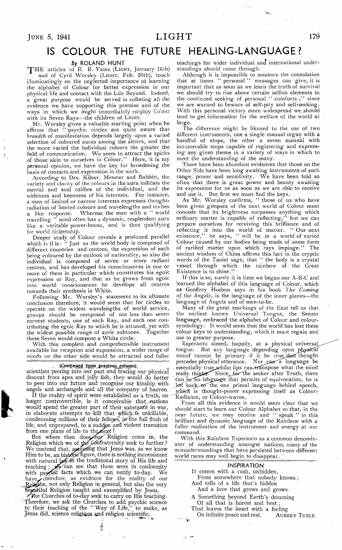## **IS COLOUR THE FUTURE HEALING-LANGUAGE?**

### *By* **ROLAND HUNT**

'Y 'H E articles of R. R. Yates **(Light,** January 16th) and of Cyril Worsley **(Light,** Feb. 20th), touch illuminatingly on the neglected importance of learning the alphabet of Colour for better expression in our physical life and contact with the Life Beyond. Indeed, a great purpose would be served in collating all the evidence we have supporting this premise and of the ways in which we might immediately employ Colour with its Seven Rays— the children of **Light.**

Mr. Worsley gives a valuable starting point when he affirms that " psychic circles are quite aware that *breadth* of manifestation depends largely upon a varied selection of coloured auras among the sitters, and that the more varied the individual colours the greater the field of communication. We seem to attract the spirits of those akin to ourselves in Colour." Here, it is my personal opinion, we have the key for broadening the basis of contacts and expression in the work.

According to Drs. Kilner, Mesmer and Babbitt, the variety and clarity of the colours in the aura indicate the mental and soul calibre of the individual, and the wideness and keenness of his interests. For instance, a man of limited or narrow interests expresses thoughtradiation of limited colours and wavelengths and invites a like response. Wher.eas the man with a " world a like response. Whereas the man with a " world travelling " mind often has a dynamic, resplendent aura like a veritable power-house, and is thus qualifying for world citizenship.

Deeper study of Colour reveals a profound parallel which is this: " Just as the world body is composed of different countries and centres, the expression of each being coloured by the outlook of nationality, so also the individual is composed of seven or more radiant centres, and has developed his consciousness in one or more of them in particular which constitutes his egoic expression or Ray, and that as he grows from egoic into world consciousness he develops all centres towards their synthesis in White.

Following Mr. Worsley's statement to its ultimate conclusion therefore, it would seem that for circles to operate on the widest wavelengths of world service, groups should be composed of not less than seven earnest students, one of each Ray, and each one contributing the egoic Ray to which he is attuned, yet with the widest possible range of auric subtones. Together these Seven would compose a White circle.

With this complete and comprehensible instrument available for reception and expression, a wider range of minds on the other side would be attracted and fuller

### (Continued from previous column)

scientists peering into our past and tracing our physical descent from apes and jelly fish, they would do better to peer into our future and recognise our kinship with angels and archangels and all the company of heaven.

If the reality of spirit were established as a truth, no longer controvertible, is it conceivable that nations would spend the greater part of their substance in war, in elaborate attempts to kill that which is unkillable, condemning millions of their fellows,  $\mu$  the full flush of life, and unprepared, to a sudden and violent transition from one plane of life to *thcyfiept?*

But where then does *four* Religion come in, the Religion which we of the Contraternity seek to further ? We contend that, assigning that Jesus was, as we know Him to be, an historic figure, there is nothing inconsistent with natural law in the traditional story of His life and teaching;  $\mathcal{N}$  can see that these were in conformity with psychic facts which we can verify to-day. We have therefore, as evidence for the reality of our Religión, not only Religion in general, but also the very beaútíful Religion taught and exemplified by Jesus.

The Churches of to-day seek to carry on His teaching. Therefore, we ask the Churches to add psychic science to their teaching of the "Way of Life," to make, as Jésus did, science religiqus and religion scientific.

> 美国 Ö,

teachings for wider individual and international understandings should come through.

Although it is impossible to measure the consolation that at times " personal " messages can give, it is important that as soon as we learn the truth of survival we should try to rise above certain selfish elements in the continued seeking of personal " comforts , " since we are warned to beware of self-pity and self-seeking. With this personal victory more widespread we should tend to get information for the welfare of the world at large.

The difference might be likened to the use of two different instruments, one a single manual organ with a handful of stops, the other a seven manual with innumerable stops capable of registering and expressing any given theme in a variety of ways in which to meet the understanding of the many.

There have been abundant evidences that those on the Other Side have been long awaiting instruments of such range, power and sensitivity. We have been told so often that there is great power and beauty awaiting its expression for us as soon as we are able to receive and use it. But first we must find the keys.

As Mr, Worsley confirms, " those of us who have been given gimpses of the next world of Colour must concede that its brightness surpasses anything which ordinary matter is capable of reflecting," but we can prepare ourselves for receiving this brilliance and of reflecting it into the world of matter. " Our next existence," he says, " will be in a world of varied Colour caused by our bodies being made of some form of rarified matter upon which rays impinge." The ancient wisdom of China affirms this fact in the cryptic words of the Taoist sage, that " the body is a crystal vessel through which the rainbow of the Great Existence is to shine."

If this is so, surely it is time we began our A-B-C and learned the alphabet of this language of Colour, which as Geoffrey Hodson says in his book *The Coming of the Angels,* is the language of the inner planes— the language of Angels and of men-to-be.

Many of the great teachings of the East tell us that the earliest known Universal Tongue, the Senzar language, embraced the alphabet of Colour and coloursymbology. It would seem that the world has lost these colour keys to understanding, which it must regain and use to greater purpose.

Esperanto aimed, happily, at a physical universal, tongue. But any language depending upon physical sound cannot be primary if it be true that thought precedes physical utterance. Nor can a language be essentially true whilst lips can-transpose what the mind really thinks. Since for the seeker after Truth, there tan .be'rlo la'nguagfe that permits of equivocation, he is led back to the one primal language behind speech, which is thought-power expressing itself as Colour-Radiance, or Colour-waves.

From all this evidence it would seem clear that we should start to learn our Colour Alphabet so that, in the near future, we may receive and " speak " in this brilliant and dynamic language of the Rainbow with a fuller realization of the instrument and energy at our command.

With this Rainbow Esperanto as a common denominator of understanding amongst nations, many of the misunderstandings that have persisted between different world races may well begin to disappear.

| <b>INSPIRATION</b>                        |
|-------------------------------------------|
| It comes with a rush, unbidden,           |
| From somewhere that nobody knows;         |
| And tells of a life that's hidden         |
| And a love that grows and grows.          |
| A Something beyond Earth's dreaming       |
| Of all that is fairest and best;          |
| That leaves the heart with a feeling      |
| On infinite peace and rest. AUBREY TURLE. |
| 深义                                        |

 $\sim$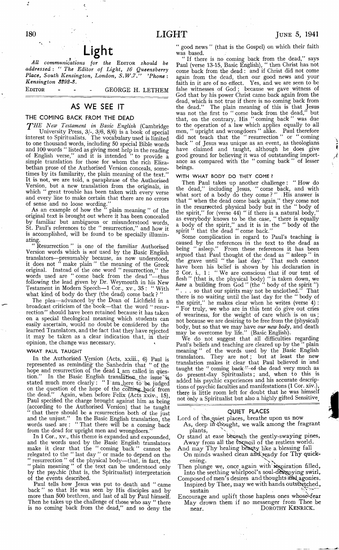## **, L ig h t**

*All communications for the* Editor *should be addressed : " The Editor of Light, 16 Queensberry Place, South Kensington, London, S.W.7'Phone: Kensington 3292-8.*

EDITOR - - - GEORGE H. LETHEM

### **AS WE SEE IT**

### **THE COMING BACK FROM THE DEAD**

*rJ'H E New Testament in Basic English* (Cambridge University Press, 3/-, 3/6, 8/6) is a book of special interest to Spiritualists. The vocabulary used is limited to one thousand words, including 50 special Bible words and 100 words " listed as giving most help in the reading of English verse," and it is intended " to provide a simple translation for those for whom the rich Elizabethan prose of the Authorised Version conceals, sometimes by its familarity, the plain meaning of the text." It is not, we are told, a paraphrase of the Authorised Version, but a new translation from the originals, in which " great trouble has been taken with every verse and every line to make certain that there are no errors and every line to make certain that there are no errors of sense and no loose wording."

As an example of how the " plain meaning " of the original text is brought out where it has been concealed by familiar but ambiguous or misunderstood words, St. Paul's references to the " resurrection," and how it is accomplished, will be found to be specially illuminating.

Resurrection" is one of the familiar Authorised Version words which is *not* used by the Basic English translators— presumably because, as now understood, it does not " make plain " the meaning of the Greek original. Instead of the one word " resurrection," the words used are "come back from the dead "—thus following the lead given by Dr. Weymouth in his New Testament in Modern Speech-1 Cor., xv., 35 : "With what kind of body do they (the dead) come back ? "

The plea— advanced by the Dean of Lichfield in a broadcast criticism of the book— that the word " resurrection" should have been retained because it has taken on a special theological meaning which students can easily ascertain, would no doubt be considered by the learned Translators, and the fact that they have rejected it may be taken as a clear indication that, in their opinion, the change was necessary.

### WHAT PAUL TAUGHT

In the Authorised Version (Acts, xxiii., 6) Paul is represented as reminding' the Sanhedrin that " of the hope and resurrection of the dead I am called in guestion." In the Basic English translation the issue is stated much more clearly : " I am .here to be judged on the question of the hope of the coming back from the dead." Again, when before Felix (Acts xxiv., 15), Paul specified the charge brought against him as being (according to the Authorised Version) that he taught that there should be a resurrection both of the just and the unjust." In the Basic English translation, the words used are : " That there will be a coming back from the dead for upright men and wrongdoers."

In 1 Cor., xv., this theme is expanded and expounded, and the words used by the Basic English translators make it clear that the " coming back " cannot be relegated to the " last day " or made to depend on the " resurrection " of the physical body— that, in fact, the " plain meaning " of the text can be understood only by the psychic (that is, the Spiritualist) interpretation of the events described.

Paul tells how Jesus was put to death and " came back " so that He was seen by His disciples and by more than 500 brethren, and last of all by Paul himself. Then he takes up the challenge of those who say " there is no coming back from the dead," and so deny the

" good news " (that is the Gospel) on which their faith was based.

If there is no coming back from the dead," says Paul (verse 13-15, Basic English), " then Christ has not come back from the dead : and if Christ did not come again from the dead, then our good news and your faith in it are of no effect. Yes, and we are seen to be false witnesses of God ; because we gave witness of God that by his power Christ came back again from the dead, which is not true if there is no coming back from the dead." The plain meaning of this is that Jesus was not the first to " come back from the dead," but that, on the contrary, His " coming back " was due to the operation of a law which applies equally to all men, " upright and wrongdoers " alike. Paul therefore did not teach that the " resurrection " or " coming back " of Jesus was unique as an event, as theologians have claimed and taught, although he does give good ground for believing it was of outstanding importance as compared with the " coming back " of lesser beings.

#### WITH WHAT BODY DO THEY COME?

Then Paul takes up another challenge : " How do the dead," including Jesus, " come back, and with what sort of a body do they come?" His answer is that " when the dead come back again," they come not in the resurrected physical body but in the " body of the spirit," for (verse 44) " if there is a natural body," as everybody knows to be the case, " there is equally a body of the spirit," and it is in the " body of the spirit " that the dead " come back."

Some complication in regard to Paul's teaching is caused by the references in the text to the dead as<br>being "asleep." From these references it has been being " asleep." From these references it has been argued that Paul thought of the dead as " asleep " in the grave until " the last day." That such cannot have been his belief is shown by his declaration in 2 Cor. i., 1 : " We are conscious that if our tent of flesh " (that is, the physical body) " is taken down, we *have* a building from God " (the " body of the spirit ") " . . . so that our spirits may not be unclothed." That there is no waiting until the last day for the " body of the spirit," he makes clear when he writes (verse 4) : " For truly, we who are in this tent do give out cries of weariness, for the weight of care which is on us ; not because we are desiring to be free from the (physical) body, but so that we may have *our new body,* and death may be overcome by life." (Basic English).

We do not suggest that all difficulties regarding Paul's beliefs and teaching are cleared up by the " plain meaning " of the words used by the Basic English translators. They are not ; but at least the new translation makes it clear that Paul believed in and taught the " coming back— $-$ of the dead very much as do present-day Spiritualists ; and, when to this \_ is added his psychic experiences and his accurate descriptions of psychic faculties and manifestations (1 Cor. xiv.), there is little room left for doubt that he was himself not only a Spiritualist but also a highly gifted Sensitive.

### **QUIET PLACES**

- Lord of the quiet places, breathe upon us now As, deep in thought, we walk among the fragrant
- plants, Or stand at ease bfeneath the gently-swaying pines, Away from all the furmoil of the restless world.
- And may Thy healing beauty like a blessing fall
- On minds washed clean and ready for Thy quickening.
- Then plunge we, once again with inspiration filled, Into the seething whirlpool's soul-destroying swirl,
- Composed of men's desires and thoughts and agonies. Inspired by Thee, may we with hands outstretched, sustain
- Encourage and uplift those hapless ones whose fear May drown them if no messenger from Thee be near. **DOROTHY KENRICK.**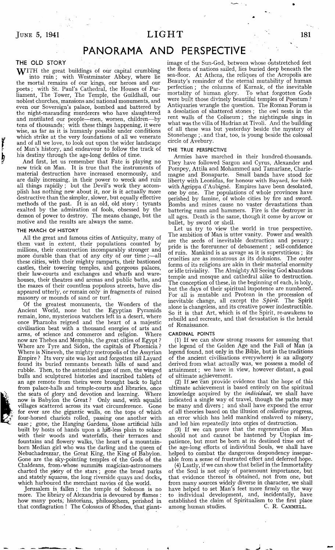## $J$   $U$  **181 LIGHT 181**

## **PANORAMA AND PERSPECTIVE**

### **THE OLD STORY**

þ

 $\bf W$ ITH the great buildings of our capital crumbling into ruin ; with Westminster Abbey, where lie the mortal remains of our kings, our heroes and our poets; with St. Paul's Cathedral, the Houses of Parliament, The Tower, The Temple, the Guildhall, our noblest churches, mansions and national monuments, and even our Sovereign's palace, bombed and battered by the night-marauding murderers who have slaughtered and mutilated our people— men, women, children— by tens of thousands; with these things happening, it were wise, as far as it is humanly possible under conditions which strike at the very foundations of all we venerate and of all we love, to look out upon the wider landscape of Man's history, and endeavour to follow the track of his destiny through the age-long defiles of time.

And first, let us remember that Fate is playing no new trick on Man. It is true that the instruments of material destruction have increased enormously, and are daily increasing, in their power to wreck and ruin all things rapidly ; but the Devil's work they accomplish has nothing new about it, nor is it actually more destructive than the simpler, slower, but equally effective methods of the past. It is an old, old story : tyrants exalted by the admiration of fools, obsessed by the demon of power to destroy. The means change, but the motive and the results are always the same.

#### THE MARCH OF HISTORY

All the great and famous cities of Antiquity, many of them vast in extent, their populations counted by millions, their construction incomparably stronger and more durable than that of any city of our time ;— all these cities, with their mighty ramparts, their bastioned castles, their towering temples, and gorgeous palaces, their law-courts and exchanges and wharfs and warehouses, their theatres and arenas and public baths, and the mazes of their countless populous streets, have disappeared utterly, or remain only in fragments of ruined masonry or mounds of sand or turf.

Of the greatest monuments, the Wonders of the Ancient World, none but the Egyptian Pyramids remain, lone, mysterious watchers left in a desert, where once Pharaohs reigned and the heart of a majestic civilisation beat with a thousand energies of arts and arms, of science and commerce and religion. now are Thebes and Memphis, the great cities of Egypt ? Where are Tyre and Sidon, the capitals of Phoenicia ? Where is Nineveh, the mighty metropolis of the Assyrian Empire ? Its very site was lost and forgotten till Layard found its buried remnants beneath hills of sand and rubble. Then, to the astonished gaze of men, the winged bulls and sculptured histories and inscribed tablets of an age remote from theirs were brought back to light from palace-halls and temple-courts and libraries, once the seats of glory and devotion and learning. Where the seats of glory and devotion and learning. now is Babylon the Great ? Only sand, with squalid villages scattered across its vast circumference. Gone for ever are -the gigantic walls, on the tops of which four-horsed chariots rolled, passing one another with ease; gone, the Hanging Gardens, those artificial hills built by hosts of hands upon a hill-less plain to solace with their woods and waterfalls, their terraces and fountains and flowery walks, the heart of a mountainborn Median girl who was the darling and the queen of Nebuchadrezzar, the Great King, the King of Babylon. Gone are the sky-pointing temples of the Gods of the Chaldeans, from whose summits magician-astronomers charted the story of the stars ; gone the broad parks and stately squares, the long riverside quays and docks, which harboured the merchant navies of the world.

Jerusalem is fallen ; the temple of Solomon is no more. The library of Alexandria is devoured by flames : how many poets, historians, philosophers, perished in that conflagration ! The Colossus of Rhodes, that giantimage of the Sun-God, between whose outstretched feet the fleets of nations sailed, lies buried deep beneath the sea-floor. At Athens, the reliques of the Acropolis are Beauty's reminder of the eternal mutability of human perfection ; the columns of Karnak, of the inevitable mortality of human glory. To what forgotten Gods mortality of human glory. were built those divinely beautiful temples of Poestum ? Antiquaries wrangle the question. The Roman Forum is a desolation of shattered stones ; the owl nests in the rent walls of the Coliseum ; the nightingale sings in what was the villa of Hadrian at Tivoli. And the building of all these was but yesterday beside the mystery of Stonehenge ;. and that, too, is young beside the colossal circle of Avebury.

#### THE TRUE PERSPECTIVE

Armies have marched in their hundred-thousands. They have followed Sargon and Cyrus, Alexander and Pompey, Attila and Mohammed and Tamarlane, Charlemagne and Bonaparte. Small bands have stood for liberty with Leonidas, for honour with Bayard, for faith with Agrippa d'Aubigne. Empires have been desolated, one by one. The populations of whole provinces have perished by famine, of whole cities by fire and sword. Bombs and mines cause no vaster devastations than battering rams and hammers. Fire is the destroyer in all ages. Death is the same, though it come by arrow or bullet, by sword or shell.

Let us try to view the world in true perspective. The ambition of Man is utter vanity. Power and wealth are the seeds of inevitable destruction and penury; pride is the forerunner of debasement; self-confidence of ruin. Mankind is as savage as it is superstitious ; its cruelties are as monstrous as its delusions. The outer forms of its religions are akin in their material enormity or idle triviality. The Almighty All Seeing God abandons temple and mosque and cathedral alike to destruction. The conception of these, in the beginning of each, is holy, but the days of their spiritual impotence are numbered. For all is mutable and Protean in the procession of inevitable change, all except the *Spirit.* The Spirit alone is changeless, and its creative power indestructible. So it is that Art, which is of the Spirit, re-awakens to rebuild and recreate, and that devastation is the herald of Renaissance.

### CARDINAL POINTS

(1) If we can show strong reasons for assuming that the legend of the Golden Age and the Fall of Man (a legend found, not only in the Bible, but in the traditions of the ancient civilisations everywhere) is an allegory derived from what actually was, we possess a model of attainment; we have in view, however distant, a goal of ultimate achievement.

(2) If we can provide evidence that the hope of this ultimate achievement is based entirely on the spiritual knowledge acquired by the *individual,* we shall have indicated a single way of travel, though the paths may be many and divers ; and shall have exposed the error of all theories based on the illusion of *collective* progress, an error which has held mankind enslaved to misery, and led him repeatedly into orgies of destruction.

(3) If we can prove that the regeneration of Man should not and cannot be hastened by Utopian impatience, but must be born at its destined time out of the age-long efforts of individual Souls, we shall have helped to combat the dangerous despondency inseparable from a sense of frustrated effort and deferred hope.

(4) Lastly, if we can show that belief in the Immortality of the Soul is not only of paramount importance, but that evidence thereof is obtained, not from one, but from many sources widely diverse in character, we shall have helped to set Man's feet more firmly on the way to individual development, and, incidentally, have established the claim of Spiritualism to the first place among human studies. C. R. CAMMELL.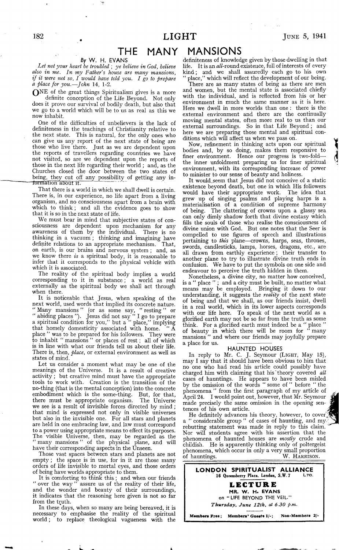## **THE MANY**

### **By** W. H. EVANS

*Let not your heart be troubled ; ye believe in God, believe also in me. In my Father's house are many mansions, if it were not so, I would have told you. I go to prepare a place for you.—John* 14, 1-2.

Q N E of the great things Spiritualism gives is a more definite conception of the Life Beyond. Not only does it prove our survival of bodily death, but also that we go to a world which will be to us as real as this we now inhabit.

One of the difficulties of unbelievers is the lack of definiteness in the teachings of Christianity relative to the next state. This is natural, for the only ones who can give us any report of the next state of being are those who live there. Just as we are dependent upon the reports of travellers regarding countries we have not visited, so are we dependent upon the reports of those in the next life regarding their world ; and, as the Churches closed the door between the two states of being, they cut off any possibility of getting any information about it.

That there is a world in which we shall dwell is certain. There is, in our experience, no life apart from a living organism, and no consciousness apart from a brain with which to think ; and all the evidence goes to show that it is so in the next state of life.

We must bear in mind that subjective states of consciousness are dependent upon mechanism for any awareness of them by the individual. There is no thinking in a vacuum ; thinking and imagining have definite relations to an appropriate mechanism. That, on earth, is our brains and nervous system ; and, as we know there *is* a spiritual body, it is reasonable to infer that it corresponds to the physical vehicle with which it is associated.

The reality of the spiritual body implies a world corresponding to it in substance; a world as real externally as the spiritual body we shall act through when there.

It is noticeable that Jesus, when speaking of the next world, used words that implied its concrete nature. " Many mansions " (or as some say, "resting" or " abiding places "). Jesus did not say " I go to prepare a spiritual condition for you," but a " place," implying that homely domesticity associated with home. place " was to be prepared for his followers. They were to inhabit " mansions " or places of rest ; all of which is in line with what our friends tell us about their life. There is, then, *place,* or external environment as well as states of mind.

Let us consider a moment what may be one of the meanings of the Universe. It is a result of creative activity ; but creative mind must have the appropriate tools to work with. Creation is the transition of the no-thing (that is the mental conception) into the concrete embodiment which is the some-thing. But, for that, there must be appropriate organism. The Universe we see is a result of invisible forces directed by mind ; that mind is expressed not only in visible universes but also in the invisible one. For all stars and planets are held in one embracing law, and law must correspond to a power using appropriate means to effect its purposes. The visible Universe, then, may be regarded as the " many mansions " of the physical plane, and will have their corresponding aspects in the Unseen.

Those vast spaces between stars and planets are not empty ; the space is in use, for in it are those many orders of life invisible to mortal eyes, and those orders of being have worlds appropriate to them.

It is comforting to think this; and when our friends over the way" assure us of the reality of their life, " over the way " assure us of the reality of their life, and the wonder and beauty of their surroundings, it indicates that the reasoning here given is not so far from the truth.

In these days, when so many are being bereaved, it is necessary to emphasise the reality of the spiritual w orld; to replace theological vagueness with the

### **MANSIONS**

definiteness of knowledge given by those dwelling in that life. It is an all-round existence, full of interests of every kind; and we shall assuredly each go to his own place," which will reflect the development of our being.

There are as many states of being as there are men and women, but the mental state is associated chiefly with the individual, and is reflected from his or her environment in much the same manner as it is here. Here we dwell in more worlds than one : there is the external environment and there are the continually moving mental states, often more real to us than our external surroundings. So in that Life Beyond ; and here we are preparing those mental and spiritual conditions which will affect us when we pass on.

Now, refinement in thinking acts upon our spiritual bodies and, by so doing, makes them responsive to finer environment. Hence our progress is two-fold the inner unfoldment preparing us for finer spiritual environment, with its corresponding increase of power to minister to our sense of beauty and holiness.

It would.seem that Jesus did not conceive of a static existence beyond death, but one in which His followers would have their appropriate work. The idea that grew up of singing psalms and playing harps is a materialisation of a condition of supreme harmony of being. The clattering of crowns upon a glassy sea can only dimly shadow forth that divine ecstasy which fills the souls of those who realise the consciousness of divine union with God. But one notes that the Seer is compelled to use figures of speech and illustrations pertaining to *this* plane— crowns, harps, seas, thrones, swords, candlesticks, lamps, horses, dragons, etc., are all drawn from earthly experience; their transfer to another plane to try to illustrate divine truth ends in confusion. We have to put the symbols on one side and endeavour to perceive the truth hidden in them.

Nonetheless, a divine city, no matter how conceived, is a " place " ; and a city must be built, no matter what means may be employed. Bringing it down to our understanding, it suggests the *reality* of the next state of being and that we shall, as our friends insist, dwell in a real world, which in its lower aspects corresponds with our life here. To speak of the next world as a glorified earth may not be so far from the truth as some think. For a glorified earth must indeed be a " place " of beauty in which there will be room for " many mansions " and where our friends may joyfully prepare a place for us.

### **HAUNTED HOUSES**

In reply to Mr. C. J. Seymour **(Light,** May 15), may I say that it should have been obvious to him that no one who had read his article could possibly have charged him with claiming that his' theory covered *all* cases of hauntings. He appears to have been misled by the omission of the words " some of " before " the phenomena " from the first paragraph of my article of April 24. I would point out, however, that Mr. Seymour made precisely the same omission in the opening sentences of his own article.

He definitely advances his theory, however, to cover a " considerable group " of cases of haunting, and my. rebutting statement was made in reply to this claim. Nor will students agree with his assertion that the phenomena of haunted houses are *mostly* crude and childish. He is apparently thinking only of poltergeist phenomena, which occur in only a very small proportion of hauntings.\_\_\_\_\_\_\_\_\_\_\_\_\_\_\_\_\_\_\_\_\_\_\_\_\_ W. **Harrison.**

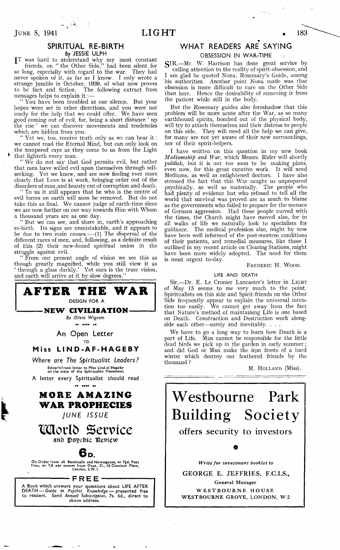

### **LIGHT**  $\bullet$  183

### **SPIRITUAL RE-BIRTH By JESSIE ULPH**

JT was hard to understand why my most constant friends, on " the Other Side," had been silent for so long, especially with regard to the war. They had never spoken of it, as far as I know. I only wrote a strange jumble in October, 1939, of what now proves to be fact and fiction. The following extract from messages helps to explain it :-

" You have been troubled at our silence. But your hopes were set in other directions, and you were not ready for the help that we could offer. We have seen good coming out of evil, for, being a short distance ' up the rise ' we can discover movements and tendencies which are hidden from you.

" Yet we, too, receive truth only as we can bear it : we cannot read the Eternal Mind, but can only look on the tempered rays as they come to us from the Light that lighteth every man.

We do not say that God permits evil, but rather that men have walled evil upon themselves through selfseeking. Yet we know, and are now finding ever more clearly that Love is at work, bringing order out of the disorders of man, and beauty out of corruption and death.

To us it still appears that he who is the centre of evil forces on earth wall soon be removed. But do not take this as final. We cannot judge of earth-time since we are now further on our way towards Him with Whom a thousand years are as one day.

" But we can see, and share in, earth's approaching re-birth. Its signs are unmistakable, and it appears to be due to two main causes :— (1) The dispersal of the different races of men, and, following, as a definite result of this (2) their new-found spiritual union in the struggle against evil.

" From our present angle of vision we see this as though greatly magnified, while you still view it as ' through a glass darkly.' Yet ours is the truer vision, and earth will arrive at it by slow degrees."



1

# WHAT READERS ARE SAYING

**OBSESSION IN WAR-TIME** 

SIR,-Mr. W. Harrison has done great service by calling attention to the reality of spirit-obsession, and I am glad he quoted Nona, Rosemary's Guide, among his authorities. Another point Nona made was that obsession is more difficult to cure on the Other Side than here. Hence the desirability of removing it from the patient while still in the body.

But the Rosemary guides also foreshadow that this problem will be more acute after the War, as so many earthbound spirits, bombed out of the physical body, will try to attach themselves and their distress to people on this side. They will need all the help we can give, for many are not yet aware of their new surroundings, nor of their spirit-helpers.

I have written on this question in my new book *Mediumship and War,* which Messrs. Rider will shortly publish, but it is not too soon to be making plans, even now, for this great curative work. It will need Mediums, as well as enlightened doctors. I have also stressed the fact that this War caught us unprepared psychically, as well as materially. The people who had plenty of evidence but who refused to tell all the world that survival was proved are as much to blame as the governments who failed to prepare for the menace of German aggression. Had these people moved with the times, the Church might have moved also, for in all walks of life we naturally look to specialists for guidance. The medical profession also, might by now have been well informed of the post-mortem conditions of their patients, and remedial measures, like those I outlined in my recent article on Clearing Stations, might have been more widely adopted. The need for them is most urgent to-day.

### **Frederic** H. **W ood.**

### LIFE AND DEATH

Sir,-Dr. E. Le Cronier Lancaster's letter in LIGHT of May 15 seems to me very much to the point. Spiritualists on this side and Spirit-friends on the Other Side frequently appear to explain the universal intention too easily. We cannot get away from the fact that Nature's method of maintaining Life is one based on Death. Construction and Destruction work alongside each other—surely and inevitably. . .

We have to go a long way to learn how Death is a part of Life. Man cannot be responsible for the little dead birds we pick up in the garden in early summer; and did God or Man make the iron frosts of a hard winter which destroy our feathered friends by the thousand ?

M. **Holland** (Miss).